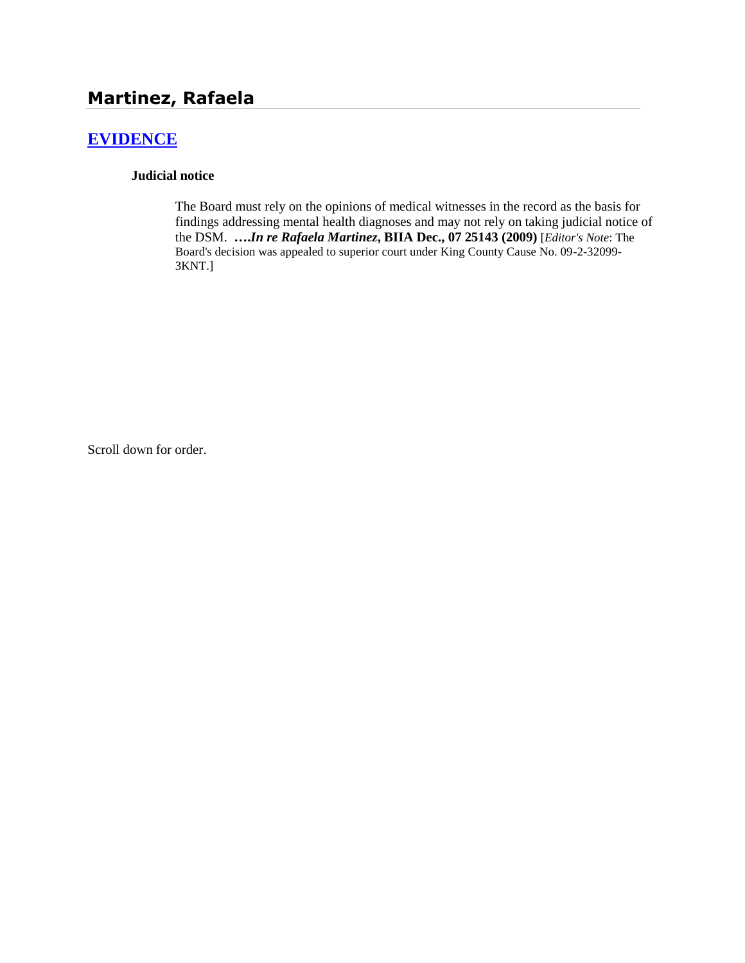# **Martinez, Rafaela**

## **[EVIDENCE](http://www.biia.wa.gov/SDSubjectIndex.html#EVIDENCE)**

#### **Judicial notice**

The Board must rely on the opinions of medical witnesses in the record as the basis for findings addressing mental health diagnoses and may not rely on taking judicial notice of the DSM. **….***In re Rafaela Martinez***, BIIA Dec., 07 25143 (2009)** [*Editor's Note*: The Board's decision was appealed to superior court under King County Cause No. 09-2-32099- 3KNT.]

Scroll down for order.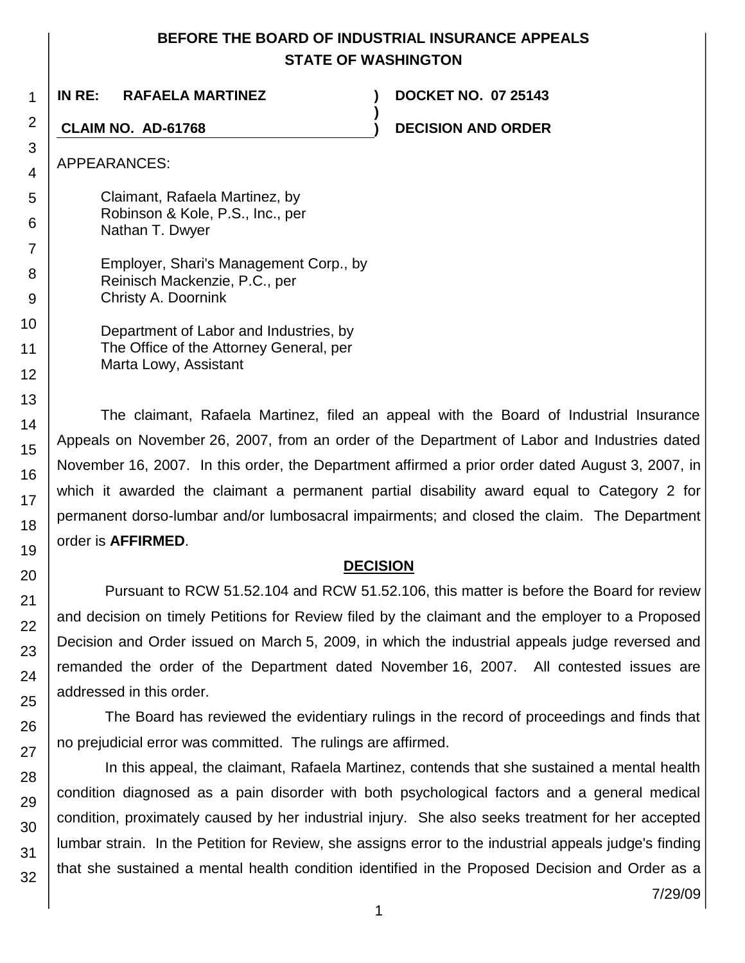## **BEFORE THE BOARD OF INDUSTRIAL INSURANCE APPEALS STATE OF WASHINGTON**

**)**

**IN RE: RAFAELA MARTINEZ ) DOCKET NO. 07 25143**

**CLAIM NO. AD-61768 ) DECISION AND ORDER**

APPEARANCES:

1

2

3 4

5 6

7

8 9

10

11 12

13 14

15

16

17

18 19

20

21 22

23

24

25

26

27

28

29

30

31

32

Claimant, Rafaela Martinez, by Robinson & Kole, P.S., Inc., per Nathan T. Dwyer

Employer, Shari's Management Corp., by Reinisch Mackenzie, P.C., per Christy A. Doornink

Department of Labor and Industries, by The Office of the Attorney General, per Marta Lowy, Assistant

The claimant, Rafaela Martinez, filed an appeal with the Board of Industrial Insurance Appeals on November 26, 2007, from an order of the Department of Labor and Industries dated November 16, 2007. In this order, the Department affirmed a prior order dated August 3, 2007, in which it awarded the claimant a permanent partial disability award equal to Category 2 for permanent dorso-lumbar and/or lumbosacral impairments; and closed the claim. The Department order is **AFFIRMED**.

# **DECISION**

Pursuant to RCW 51.52.104 and RCW 51.52.106, this matter is before the Board for review and decision on timely Petitions for Review filed by the claimant and the employer to a Proposed Decision and Order issued on March 5, 2009, in which the industrial appeals judge reversed and remanded the order of the Department dated November 16, 2007. All contested issues are addressed in this order.

The Board has reviewed the evidentiary rulings in the record of proceedings and finds that no prejudicial error was committed. The rulings are affirmed.

In this appeal, the claimant, Rafaela Martinez, contends that she sustained a mental health condition diagnosed as a pain disorder with both psychological factors and a general medical condition, proximately caused by her industrial injury. She also seeks treatment for her accepted lumbar strain. In the Petition for Review, she assigns error to the industrial appeals judge's finding that she sustained a mental health condition identified in the Proposed Decision and Order as a

7/29/09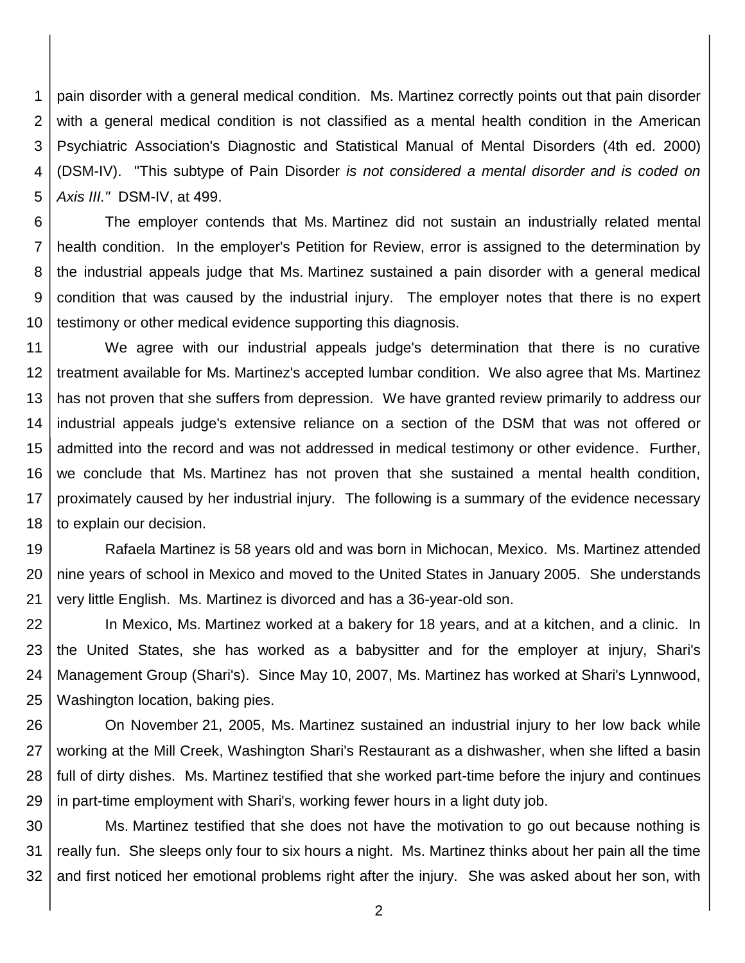1 2 3 4 5 pain disorder with a general medical condition. Ms. Martinez correctly points out that pain disorder with a general medical condition is not classified as a mental health condition in the American Psychiatric Association's Diagnostic and Statistical Manual of Mental Disorders (4th ed. 2000) (DSM-IV). "This subtype of Pain Disorder *is not considered a mental disorder and is coded on Axis III."* DSM-IV, at 499.

6 7 8 9 10 The employer contends that Ms. Martinez did not sustain an industrially related mental health condition. In the employer's Petition for Review, error is assigned to the determination by the industrial appeals judge that Ms. Martinez sustained a pain disorder with a general medical condition that was caused by the industrial injury. The employer notes that there is no expert testimony or other medical evidence supporting this diagnosis.

11 12 13 14 15 16 17 18 We agree with our industrial appeals judge's determination that there is no curative treatment available for Ms. Martinez's accepted lumbar condition. We also agree that Ms. Martinez has not proven that she suffers from depression. We have granted review primarily to address our industrial appeals judge's extensive reliance on a section of the DSM that was not offered or admitted into the record and was not addressed in medical testimony or other evidence. Further, we conclude that Ms. Martinez has not proven that she sustained a mental health condition, proximately caused by her industrial injury. The following is a summary of the evidence necessary to explain our decision.

19 20 21 Rafaela Martinez is 58 years old and was born in Michocan, Mexico. Ms. Martinez attended nine years of school in Mexico and moved to the United States in January 2005. She understands very little English. Ms. Martinez is divorced and has a 36-year-old son.

22 23 24 25 In Mexico, Ms. Martinez worked at a bakery for 18 years, and at a kitchen, and a clinic. In the United States, she has worked as a babysitter and for the employer at injury, Shari's Management Group (Shari's). Since May 10, 2007, Ms. Martinez has worked at Shari's Lynnwood, Washington location, baking pies.

26 27 28 29 On November 21, 2005, Ms. Martinez sustained an industrial injury to her low back while working at the Mill Creek, Washington Shari's Restaurant as a dishwasher, when she lifted a basin full of dirty dishes. Ms. Martinez testified that she worked part-time before the injury and continues in part-time employment with Shari's, working fewer hours in a light duty job.

30 31 32 Ms. Martinez testified that she does not have the motivation to go out because nothing is really fun. She sleeps only four to six hours a night. Ms. Martinez thinks about her pain all the time and first noticed her emotional problems right after the injury. She was asked about her son, with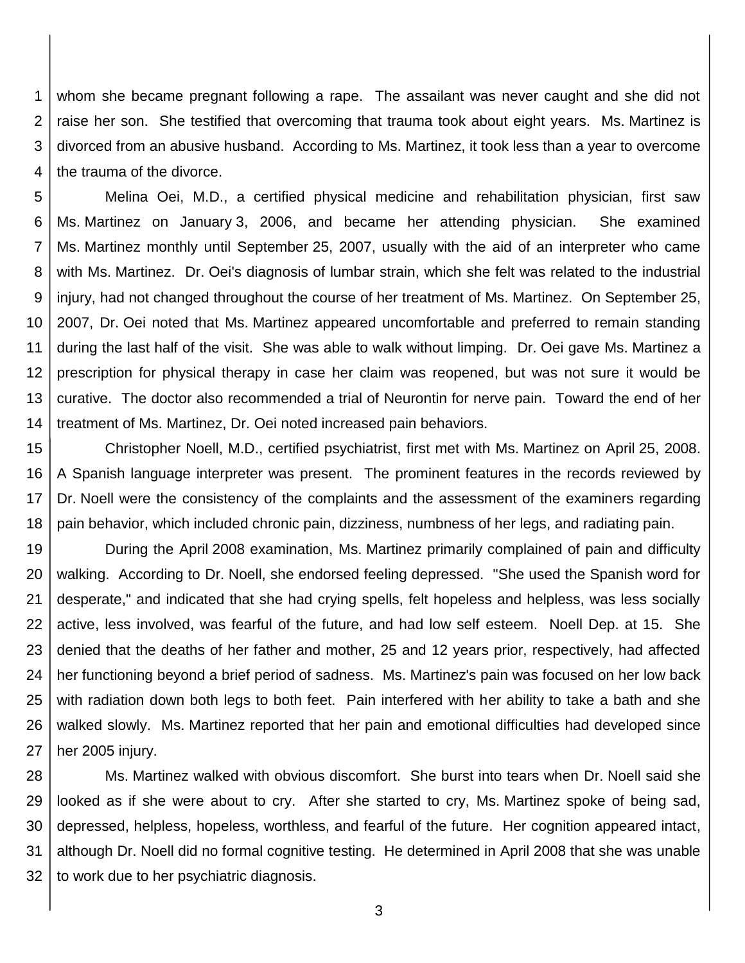1 2 3 4 whom she became pregnant following a rape. The assailant was never caught and she did not raise her son. She testified that overcoming that trauma took about eight years. Ms. Martinez is divorced from an abusive husband. According to Ms. Martinez, it took less than a year to overcome the trauma of the divorce.

5 6 7 8 9 10 11 12 13 14 Melina Oei, M.D., a certified physical medicine and rehabilitation physician, first saw Ms. Martinez on January 3, 2006, and became her attending physician. She examined Ms. Martinez monthly until September 25, 2007, usually with the aid of an interpreter who came with Ms. Martinez. Dr. Oei's diagnosis of lumbar strain, which she felt was related to the industrial injury, had not changed throughout the course of her treatment of Ms. Martinez. On September 25, 2007, Dr. Oei noted that Ms. Martinez appeared uncomfortable and preferred to remain standing during the last half of the visit. She was able to walk without limping. Dr. Oei gave Ms. Martinez a prescription for physical therapy in case her claim was reopened, but was not sure it would be curative. The doctor also recommended a trial of Neurontin for nerve pain. Toward the end of her treatment of Ms. Martinez, Dr. Oei noted increased pain behaviors.

15 16 17 18 Christopher Noell, M.D., certified psychiatrist, first met with Ms. Martinez on April 25, 2008. A Spanish language interpreter was present. The prominent features in the records reviewed by Dr. Noell were the consistency of the complaints and the assessment of the examiners regarding pain behavior, which included chronic pain, dizziness, numbness of her legs, and radiating pain.

19 20 21 22 23 24 25 26 27 During the April 2008 examination, Ms. Martinez primarily complained of pain and difficulty walking. According to Dr. Noell, she endorsed feeling depressed. "She used the Spanish word for desperate," and indicated that she had crying spells, felt hopeless and helpless, was less socially active, less involved, was fearful of the future, and had low self esteem. Noell Dep. at 15. She denied that the deaths of her father and mother, 25 and 12 years prior, respectively, had affected her functioning beyond a brief period of sadness. Ms. Martinez's pain was focused on her low back with radiation down both legs to both feet. Pain interfered with her ability to take a bath and she walked slowly. Ms. Martinez reported that her pain and emotional difficulties had developed since her 2005 injury.

28 29 30 31 32 Ms. Martinez walked with obvious discomfort. She burst into tears when Dr. Noell said she looked as if she were about to cry. After she started to cry, Ms. Martinez spoke of being sad, depressed, helpless, hopeless, worthless, and fearful of the future. Her cognition appeared intact, although Dr. Noell did no formal cognitive testing. He determined in April 2008 that she was unable to work due to her psychiatric diagnosis.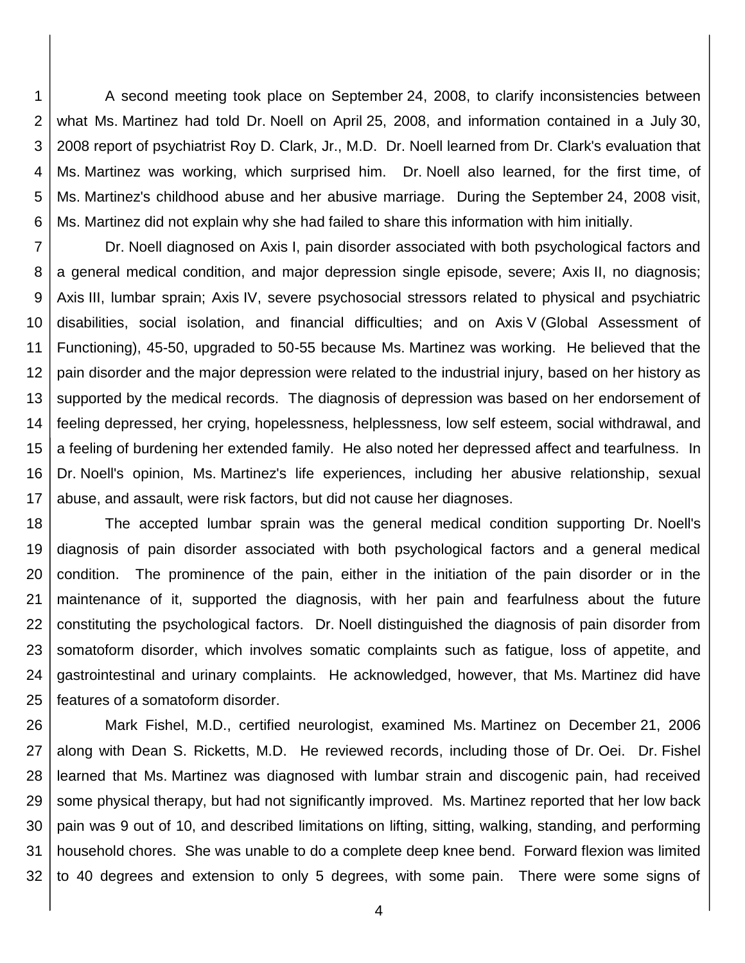1 2 3 4 5 6 A second meeting took place on September 24, 2008, to clarify inconsistencies between what Ms. Martinez had told Dr. Noell on April 25, 2008, and information contained in a July 30, 2008 report of psychiatrist Roy D. Clark, Jr., M.D. Dr. Noell learned from Dr. Clark's evaluation that Ms. Martinez was working, which surprised him. Dr. Noell also learned, for the first time, of Ms. Martinez's childhood abuse and her abusive marriage. During the September 24, 2008 visit, Ms. Martinez did not explain why she had failed to share this information with him initially.

7 8 9 10 11 12 13 14 15 16 17 Dr. Noell diagnosed on Axis I, pain disorder associated with both psychological factors and a general medical condition, and major depression single episode, severe; Axis II, no diagnosis; Axis III, lumbar sprain; Axis IV, severe psychosocial stressors related to physical and psychiatric disabilities, social isolation, and financial difficulties; and on Axis V (Global Assessment of Functioning), 45-50, upgraded to 50-55 because Ms. Martinez was working. He believed that the pain disorder and the major depression were related to the industrial injury, based on her history as supported by the medical records. The diagnosis of depression was based on her endorsement of feeling depressed, her crying, hopelessness, helplessness, low self esteem, social withdrawal, and a feeling of burdening her extended family. He also noted her depressed affect and tearfulness. In Dr. Noell's opinion, Ms. Martinez's life experiences, including her abusive relationship, sexual abuse, and assault, were risk factors, but did not cause her diagnoses.

18 19 20 21 22 23 24 25 The accepted lumbar sprain was the general medical condition supporting Dr. Noell's diagnosis of pain disorder associated with both psychological factors and a general medical condition. The prominence of the pain, either in the initiation of the pain disorder or in the maintenance of it, supported the diagnosis, with her pain and fearfulness about the future constituting the psychological factors. Dr. Noell distinguished the diagnosis of pain disorder from somatoform disorder, which involves somatic complaints such as fatigue, loss of appetite, and gastrointestinal and urinary complaints. He acknowledged, however, that Ms. Martinez did have features of a somatoform disorder.

26 27 28 29 30 31 32 Mark Fishel, M.D., certified neurologist, examined Ms. Martinez on December 21, 2006 along with Dean S. Ricketts, M.D. He reviewed records, including those of Dr. Oei. Dr. Fishel learned that Ms. Martinez was diagnosed with lumbar strain and discogenic pain, had received some physical therapy, but had not significantly improved. Ms. Martinez reported that her low back pain was 9 out of 10, and described limitations on lifting, sitting, walking, standing, and performing household chores. She was unable to do a complete deep knee bend. Forward flexion was limited to 40 degrees and extension to only 5 degrees, with some pain. There were some signs of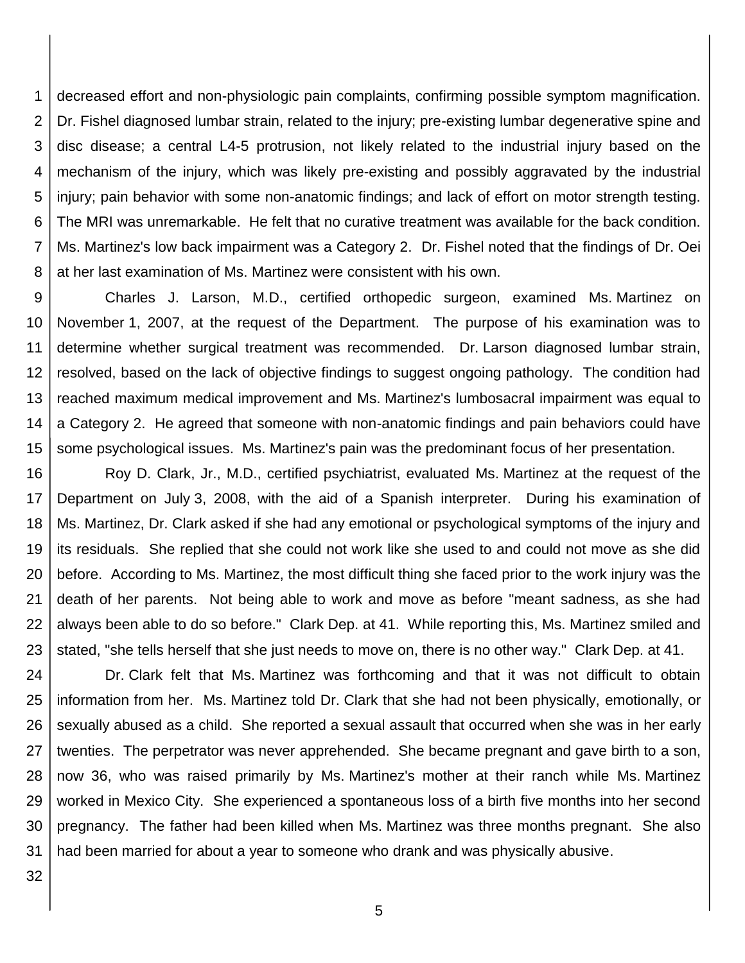1 2 3 4 5 6 7 8 decreased effort and non-physiologic pain complaints, confirming possible symptom magnification. Dr. Fishel diagnosed lumbar strain, related to the injury; pre-existing lumbar degenerative spine and disc disease; a central L4-5 protrusion, not likely related to the industrial injury based on the mechanism of the injury, which was likely pre-existing and possibly aggravated by the industrial injury; pain behavior with some non-anatomic findings; and lack of effort on motor strength testing. The MRI was unremarkable. He felt that no curative treatment was available for the back condition. Ms. Martinez's low back impairment was a Category 2. Dr. Fishel noted that the findings of Dr. Oei at her last examination of Ms. Martinez were consistent with his own.

9 10 11 12 13 14 15 Charles J. Larson, M.D., certified orthopedic surgeon, examined Ms. Martinez on November 1, 2007, at the request of the Department. The purpose of his examination was to determine whether surgical treatment was recommended. Dr. Larson diagnosed lumbar strain, resolved, based on the lack of objective findings to suggest ongoing pathology. The condition had reached maximum medical improvement and Ms. Martinez's lumbosacral impairment was equal to a Category 2. He agreed that someone with non-anatomic findings and pain behaviors could have some psychological issues. Ms. Martinez's pain was the predominant focus of her presentation.

16 17 18 19 20 21 22 23 Roy D. Clark, Jr., M.D., certified psychiatrist, evaluated Ms. Martinez at the request of the Department on July 3, 2008, with the aid of a Spanish interpreter. During his examination of Ms. Martinez, Dr. Clark asked if she had any emotional or psychological symptoms of the injury and its residuals. She replied that she could not work like she used to and could not move as she did before. According to Ms. Martinez, the most difficult thing she faced prior to the work injury was the death of her parents. Not being able to work and move as before "meant sadness, as she had always been able to do so before." Clark Dep. at 41. While reporting this, Ms. Martinez smiled and stated, "she tells herself that she just needs to move on, there is no other way." Clark Dep. at 41.

24 25 26 27 28 29 30 31 Dr. Clark felt that Ms. Martinez was forthcoming and that it was not difficult to obtain information from her. Ms. Martinez told Dr. Clark that she had not been physically, emotionally, or sexually abused as a child. She reported a sexual assault that occurred when she was in her early twenties. The perpetrator was never apprehended. She became pregnant and gave birth to a son, now 36, who was raised primarily by Ms. Martinez's mother at their ranch while Ms. Martinez worked in Mexico City. She experienced a spontaneous loss of a birth five months into her second pregnancy. The father had been killed when Ms. Martinez was three months pregnant. She also had been married for about a year to someone who drank and was physically abusive.

32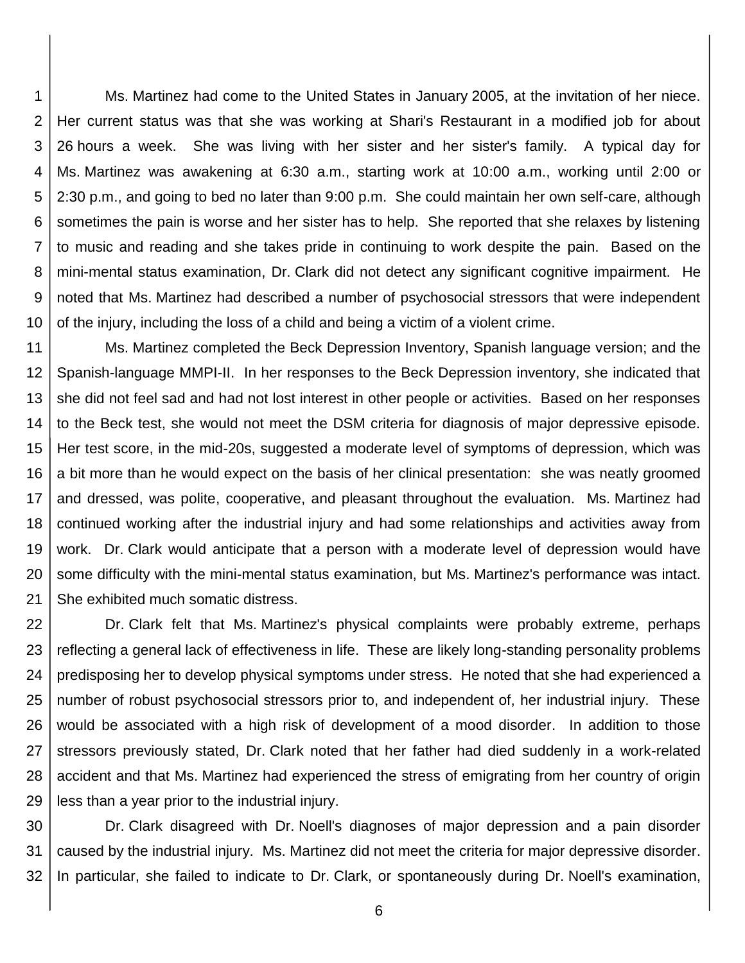1 2 3 4 5 6 7 8 9 10 Ms. Martinez had come to the United States in January 2005, at the invitation of her niece. Her current status was that she was working at Shari's Restaurant in a modified job for about 26 hours a week. She was living with her sister and her sister's family. A typical day for Ms. Martinez was awakening at 6:30 a.m., starting work at 10:00 a.m., working until 2:00 or 2:30 p.m., and going to bed no later than 9:00 p.m. She could maintain her own self-care, although sometimes the pain is worse and her sister has to help. She reported that she relaxes by listening to music and reading and she takes pride in continuing to work despite the pain. Based on the mini-mental status examination, Dr. Clark did not detect any significant cognitive impairment. He noted that Ms. Martinez had described a number of psychosocial stressors that were independent of the injury, including the loss of a child and being a victim of a violent crime.

11 12 13 14 15 16 17 18 19 20 21 Ms. Martinez completed the Beck Depression Inventory, Spanish language version; and the Spanish-language MMPI-II. In her responses to the Beck Depression inventory, she indicated that she did not feel sad and had not lost interest in other people or activities. Based on her responses to the Beck test, she would not meet the DSM criteria for diagnosis of major depressive episode. Her test score, in the mid-20s, suggested a moderate level of symptoms of depression, which was a bit more than he would expect on the basis of her clinical presentation: she was neatly groomed and dressed, was polite, cooperative, and pleasant throughout the evaluation. Ms. Martinez had continued working after the industrial injury and had some relationships and activities away from work. Dr. Clark would anticipate that a person with a moderate level of depression would have some difficulty with the mini-mental status examination, but Ms. Martinez's performance was intact. She exhibited much somatic distress.

22 23 24 25 26 27 28 29 Dr. Clark felt that Ms. Martinez's physical complaints were probably extreme, perhaps reflecting a general lack of effectiveness in life. These are likely long-standing personality problems predisposing her to develop physical symptoms under stress. He noted that she had experienced a number of robust psychosocial stressors prior to, and independent of, her industrial injury. These would be associated with a high risk of development of a mood disorder. In addition to those stressors previously stated, Dr. Clark noted that her father had died suddenly in a work-related accident and that Ms. Martinez had experienced the stress of emigrating from her country of origin less than a year prior to the industrial injury.

30 31 32 Dr. Clark disagreed with Dr. Noell's diagnoses of major depression and a pain disorder caused by the industrial injury. Ms. Martinez did not meet the criteria for major depressive disorder. In particular, she failed to indicate to Dr. Clark, or spontaneously during Dr. Noell's examination,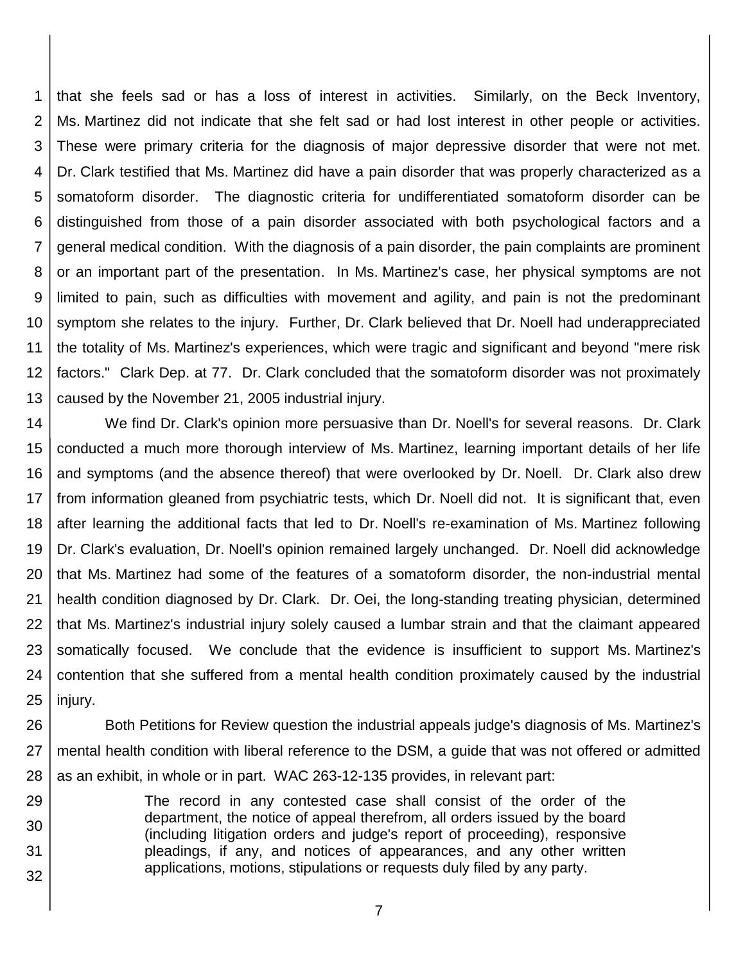1 2 3 4 5 6 7 8 9 10 11 12 13 that she feels sad or has a loss of interest in activities. Similarly, on the Beck Inventory, Ms. Martinez did not indicate that she felt sad or had lost interest in other people or activities. These were primary criteria for the diagnosis of major depressive disorder that were not met. Dr. Clark testified that Ms. Martinez did have a pain disorder that was properly characterized as a somatoform disorder. The diagnostic criteria for undifferentiated somatoform disorder can be distinguished from those of a pain disorder associated with both psychological factors and a general medical condition. With the diagnosis of a pain disorder, the pain complaints are prominent or an important part of the presentation. In Ms. Martinez's case, her physical symptoms are not limited to pain, such as difficulties with movement and agility, and pain is not the predominant symptom she relates to the injury. Further, Dr. Clark believed that Dr. Noell had underappreciated the totality of Ms. Martinez's experiences, which were tragic and significant and beyond "mere risk factors." Clark Dep. at 77. Dr. Clark concluded that the somatoform disorder was not proximately caused by the November 21, 2005 industrial injury.

14 15 16 17 18 19 20 21 22 23 24 25 We find Dr. Clark's opinion more persuasive than Dr. Noell's for several reasons. Dr. Clark conducted a much more thorough interview of Ms. Martinez, learning important details of her life and symptoms (and the absence thereof) that were overlooked by Dr. Noell. Dr. Clark also drew from information gleaned from psychiatric tests, which Dr. Noell did not. It is significant that, even after learning the additional facts that led to Dr. Noell's re-examination of Ms. Martinez following Dr. Clark's evaluation, Dr. Noell's opinion remained largely unchanged. Dr. Noell did acknowledge that Ms. Martinez had some of the features of a somatoform disorder, the non-industrial mental health condition diagnosed by Dr. Clark. Dr. Oei, the long-standing treating physician, determined that Ms. Martinez's industrial injury solely caused a lumbar strain and that the claimant appeared somatically focused. We conclude that the evidence is insufficient to support Ms. Martinez's contention that she suffered from a mental health condition proximately caused by the industrial injury.

26 27 28 Both Petitions for Review question the industrial appeals judge's diagnosis of Ms. Martinez's mental health condition with liberal reference to the DSM, a guide that was not offered or admitted as an exhibit, in whole or in part. WAC 263-12-135 provides, in relevant part:

29 30 31 32 The record in any contested case shall consist of the order of the department, the notice of appeal therefrom, all orders issued by the board (including litigation orders and judge's report of proceeding), responsive pleadings, if any, and notices of appearances, and any other written applications, motions, stipulations or requests duly filed by any party.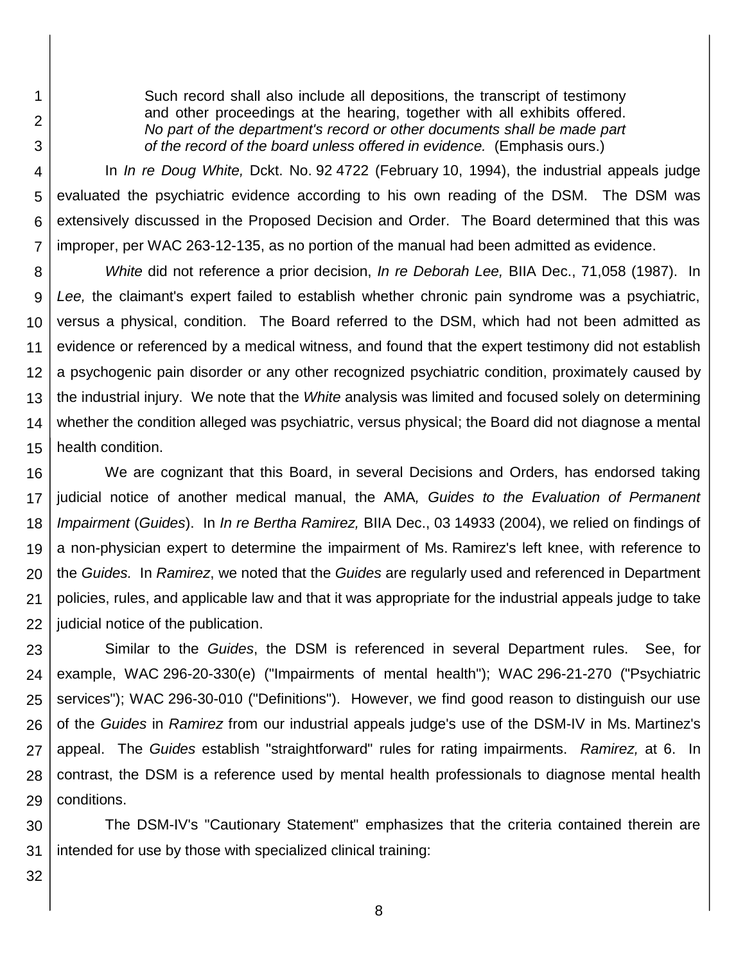Such record shall also include all depositions, the transcript of testimony and other proceedings at the hearing, together with all exhibits offered. *No part of the department's record or other documents shall be made part of the record of the board unless offered in evidence.* (Emphasis ours.)

4 5 6 7 In *In re Doug White,* Dckt. No. 92 4722 (February 10, 1994), the industrial appeals judge evaluated the psychiatric evidence according to his own reading of the DSM. The DSM was extensively discussed in the Proposed Decision and Order. The Board determined that this was improper, per WAC 263-12-135, as no portion of the manual had been admitted as evidence.

8 9 10 11 12 13 14 15 *White* did not reference a prior decision, *In re Deborah Lee,* BIIA Dec., 71,058 (1987). In *Lee,* the claimant's expert failed to establish whether chronic pain syndrome was a psychiatric, versus a physical, condition. The Board referred to the DSM, which had not been admitted as evidence or referenced by a medical witness, and found that the expert testimony did not establish a psychogenic pain disorder or any other recognized psychiatric condition, proximately caused by the industrial injury. We note that the *White* analysis was limited and focused solely on determining whether the condition alleged was psychiatric, versus physical; the Board did not diagnose a mental health condition.

16 17 18 19 20 21 22 We are cognizant that this Board, in several Decisions and Orders, has endorsed taking judicial notice of another medical manual, the AMA*, Guides to the Evaluation of Permanent Impairment* (*Guides*). In *In re Bertha Ramirez,* BIIA Dec., 03 14933 (2004), we relied on findings of a non-physician expert to determine the impairment of Ms. Ramirez's left knee, with reference to the *Guides.* In *Ramirez*, we noted that the *Guides* are regularly used and referenced in Department policies, rules, and applicable law and that it was appropriate for the industrial appeals judge to take judicial notice of the publication.

23 24 25 26 27 28 29 Similar to the *Guides*, the DSM is referenced in several Department rules. See, for example, WAC 296-20-330(e) ("Impairments of mental health"); WAC 296-21-270 ("Psychiatric services"); WAC 296-30-010 ("Definitions"). However, we find good reason to distinguish our use of the *Guides* in *Ramirez* from our industrial appeals judge's use of the DSM-IV in Ms. Martinez's appeal. The *Guides* establish "straightforward" rules for rating impairments. *Ramirez,* at 6. In contrast, the DSM is a reference used by mental health professionals to diagnose mental health conditions.

30 31 The DSM-IV's "Cautionary Statement" emphasizes that the criteria contained therein are intended for use by those with specialized clinical training:

32

1

2

3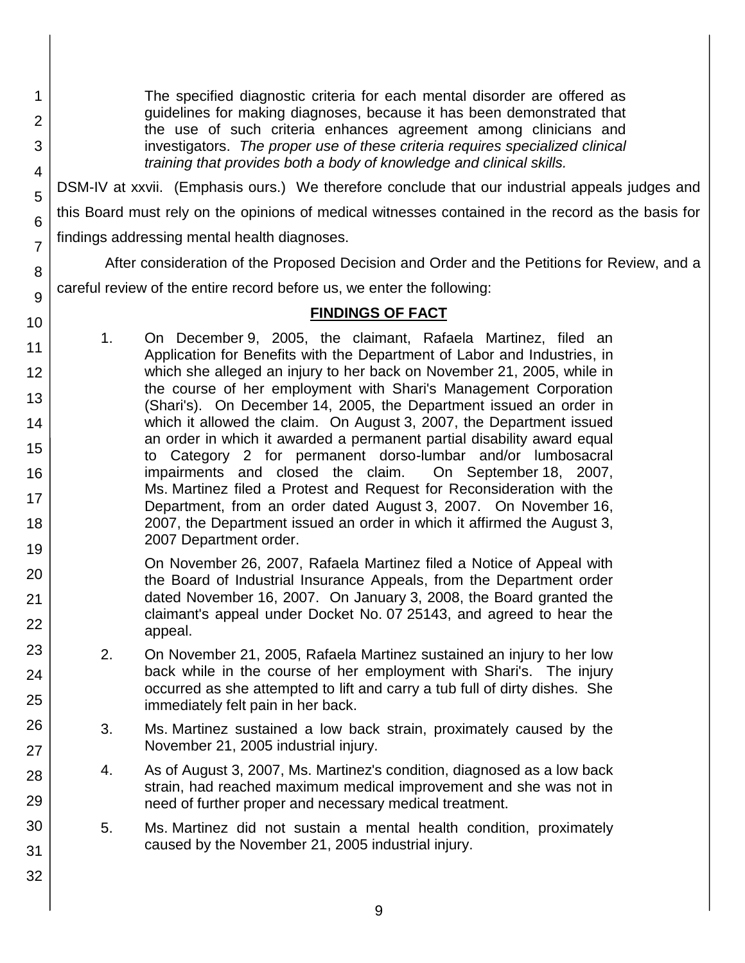The specified diagnostic criteria for each mental disorder are offered as guidelines for making diagnoses, because it has been demonstrated that the use of such criteria enhances agreement among clinicians and investigators. *The proper use of these criteria requires specialized clinical training that provides both a body of knowledge and clinical skills.* DSM-IV at xxvii. (Emphasis ours.) We therefore conclude that our industrial appeals judges and this Board must rely on the opinions of medical witnesses contained in the record as the basis for

findings addressing mental health diagnoses.

After consideration of the Proposed Decision and Order and the Petitions for Review, and a careful review of the entire record before us, we enter the following:

#### **FINDINGS OF FACT**

1. On December 9, 2005, the claimant, Rafaela Martinez, filed an Application for Benefits with the Department of Labor and Industries, in which she alleged an injury to her back on November 21, 2005, while in the course of her employment with Shari's Management Corporation (Shari's). On December 14, 2005, the Department issued an order in which it allowed the claim. On August 3, 2007, the Department issued an order in which it awarded a permanent partial disability award equal to Category 2 for permanent dorso-lumbar and/or lumbosacral impairments and closed the claim. On September 18, 2007, Ms. Martinez filed a Protest and Request for Reconsideration with the Department, from an order dated August 3, 2007. On November 16, 2007, the Department issued an order in which it affirmed the August 3, 2007 Department order.

On November 26, 2007, Rafaela Martinez filed a Notice of Appeal with the Board of Industrial Insurance Appeals, from the Department order dated November 16, 2007. On January 3, 2008, the Board granted the claimant's appeal under Docket No. 07 25143, and agreed to hear the appeal.

- 2. On November 21, 2005, Rafaela Martinez sustained an injury to her low back while in the course of her employment with Shari's. The injury occurred as she attempted to lift and carry a tub full of dirty dishes. She immediately felt pain in her back.
	- 3. Ms. Martinez sustained a low back strain, proximately caused by the November 21, 2005 industrial injury.
	- 4. As of August 3, 2007, Ms. Martinez's condition, diagnosed as a low back strain, had reached maximum medical improvement and she was not in need of further proper and necessary medical treatment.
	- 5. Ms. Martinez did not sustain a mental health condition, proximately caused by the November 21, 2005 industrial injury.
- 29 30 31

32

1

2

3

4

5

6

7

8

9

10

11 12

13

14

15

16

17 18

19

20

21 22

23

24

25

26

27